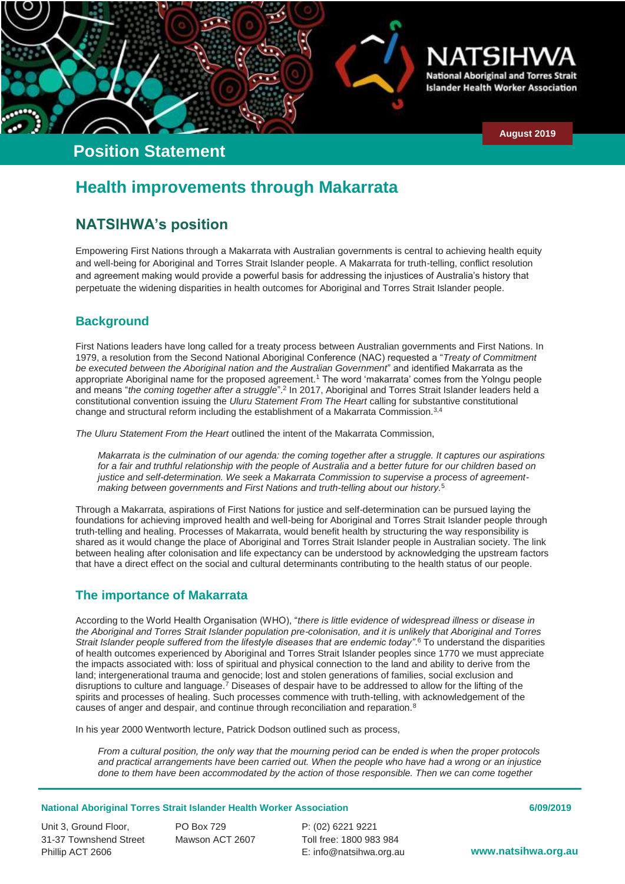

## **Position Statement**

# **Health improvements through Makarrata**

## **NATSIHWA's position**

Empowering First Nations through a Makarrata with Australian governments is central to achieving health equity and well-being for Aboriginal and Torres Strait Islander people. A Makarrata for truth-telling, conflict resolution and agreement making would provide a powerful basis for addressing the injustices of Australia's history that perpetuate the widening disparities in health outcomes for Aboriginal and Torres Strait Islander people.

### **Background**

First Nations leaders have long called for a treaty process between Australian governments and First Nations. In 1979, a resolution from the Second National Aboriginal Conference (NAC) requested a "*Treaty of Commitment be executed between the Aboriginal nation and the Australian Government*" and identified Makarrata as the appropriate Aboriginal name for the proposed agreement.<sup>1</sup> The word 'makarrata' comes from the Yolngu people and means "*the coming together after a struggle*".<sup>2</sup> In 2017, Aboriginal and Torres Strait Islander leaders held a constitutional convention issuing the *Uluru Statement From The Heart* calling for substantive constitutional change and structural reform including the establishment of a Makarrata Commission.3,4

*The Uluru Statement From the Heart* outlined the intent of the Makarrata Commission,

*Makarrata is the culmination of our agenda: the coming together after a struggle. It captures our aspirations for a fair and truthful relationship with the people of Australia and a better future for our children based on justice and self-determination. We seek a Makarrata Commission to supervise a process of agreementmaking between governments and First Nations and truth-telling about our history.*<sup>5</sup>

Through a Makarrata, aspirations of First Nations for justice and self-determination can be pursued laying the foundations for achieving improved health and well-being for Aboriginal and Torres Strait Islander people through truth-telling and healing. Processes of Makarrata, would benefit health by structuring the way responsibility is shared as it would change the place of Aboriginal and Torres Strait Islander people in Australian society. The link between healing after colonisation and life expectancy can be understood by acknowledging the upstream factors that have a direct effect on the social and cultural determinants contributing to the health status of our people.

### **The importance of Makarrata**

According to the World Health Organisation (WHO), "*there is little evidence of widespread illness or disease in the Aboriginal and Torres Strait Islander population pre-colonisation, and it is unlikely that Aboriginal and Torres Strait Islander people suffered from the lifestyle diseases that are endemic today"*. <sup>6</sup> To understand the disparities of health outcomes experienced by Aboriginal and Torres Strait Islander peoples since 1770 we must appreciate the impacts associated with: loss of spiritual and physical connection to the land and ability to derive from the land; intergenerational trauma and genocide; lost and stolen generations of families, social exclusion and disruptions to culture and language.<sup>7</sup> Diseases of despair have to be addressed to allow for the lifting of the spirits and processes of healing. Such processes commence with truth-telling, with acknowledgement of the causes of anger and despair, and continue through reconciliation and reparation.<sup>8</sup>

In his year 2000 Wentworth lecture, Patrick Dodson outlined such as process,

*From a cultural position, the only way that the mourning period can be ended is when the proper protocols and practical arrangements have been carried out. When the people who have had a wrong or an injustice done to them have been accommodated by the action of those responsible. Then we can come together* 

#### **National Aboriginal Torres Strait Islander Health Worker Association 6/09/2019**

Unit 3, Ground Floor, 31-37 Townshend Street Phillip ACT 2606

PO Box 729 Mawson ACT 2607

P: (02) 6221 9221 Toll free: 1800 983 984 E: info@natsihwa.org.au **[www.natsihwa.org.au](http://www.natsihwa.org.au/)**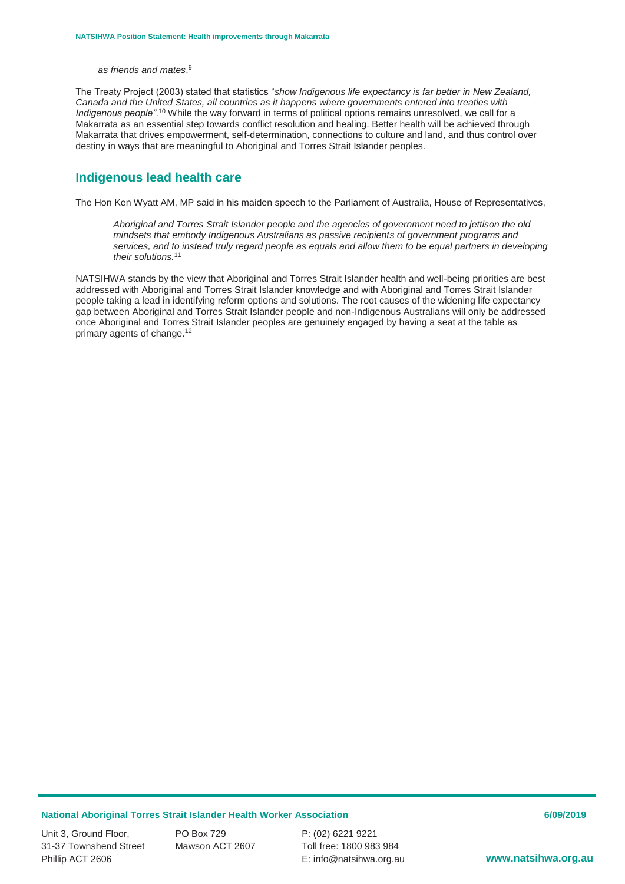*as friends and mates*. 9

The Treaty Project (2003) stated that statistics "*show Indigenous life expectancy is far better in New Zealand, Canada and the United States, all countries as it happens where governments entered into treaties with Indigenous people"*. <sup>10</sup> While the way forward in terms of political options remains unresolved, we call for a Makarrata as an essential step towards conflict resolution and healing. Better health will be achieved through Makarrata that drives empowerment, self-determination, connections to culture and land, and thus control over destiny in ways that are meaningful to Aboriginal and Torres Strait Islander peoples.

### **Indigenous lead health care**

The Hon Ken Wyatt AM, MP said in his maiden speech to the Parliament of Australia, House of Representatives,

*Aboriginal and Torres Strait Islander people and the agencies of government need to jettison the old mindsets that embody Indigenous Australians as passive recipients of government programs and services, and to instead truly regard people as equals and allow them to be equal partners in developing their solutions.*<sup>11</sup>

NATSIHWA stands by the view that Aboriginal and Torres Strait Islander health and well-being priorities are best addressed with Aboriginal and Torres Strait Islander knowledge and with Aboriginal and Torres Strait Islander people taking a lead in identifying reform options and solutions. The root causes of the widening life expectancy gap between Aboriginal and Torres Strait Islander people and non-Indigenous Australians will only be addressed once Aboriginal and Torres Strait Islander peoples are genuinely engaged by having a seat at the table as primary agents of change.12

#### **National Aboriginal Torres Strait Islander Health Worker Association 6/09/2019**

Unit 3, Ground Floor, 31-37 Townshend Street Phillip ACT 2606

PO Box 729 Mawson ACT 2607

P: (02) 6221 9221 Toll free: 1800 983 984 E: info@natsihwa.org.au **[www.natsihwa.org.au](http://www.natsihwa.org.au/)**